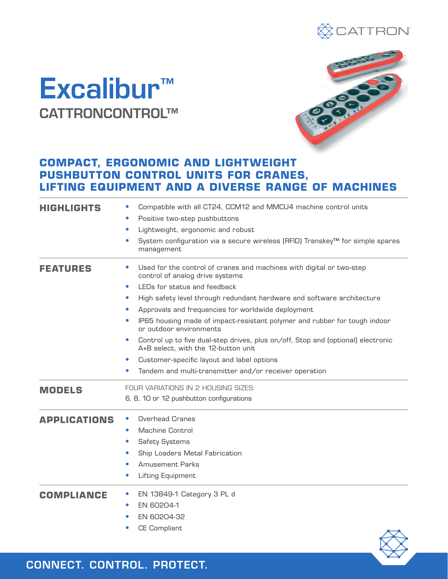

## Excalibur™ CATTRONCONTROL™



## **COMPACT, ERGONOMIC AND LIGHTWEIGHT PUSHBUTTON CONTROL UNITS FOR CRANES, LIFTING EQUIPMENT AND A DIVERSE RANGE OF MACHINES**

| HIGHLIGHTS          | Compatible with all CT24, CCM12 and MMCU4 machine control units                                                                      |
|---------------------|--------------------------------------------------------------------------------------------------------------------------------------|
|                     | Positive two-step pushbuttons                                                                                                        |
|                     | Lightweight, ergonomic and robust<br>$\bullet$                                                                                       |
|                     | System configuration via a secure wireless (RFID) Transkey™ for simple spares<br>$\bullet$<br>management                             |
| FEATURES            | Used for the control of cranes and machines with digital or two-step<br>control of analog drive systems                              |
|                     | LEDs for status and feedback<br>$\bullet$                                                                                            |
|                     | High safety level through redundant hardware and software architecture                                                               |
|                     | Approvals and frequencies for worldwide deployment                                                                                   |
|                     | IP65 housing made of impact-resistant polymer and rubber for tough indoor<br>or outdoor environments                                 |
|                     | Control up to five dual-step drives, plus on/off, Stop and (optional) electronic<br>$\bullet$<br>A+B select, with the 12-button unit |
|                     | Customer-specific layout and label options                                                                                           |
|                     | Tandem and multi-transmitter and/or receiver operation                                                                               |
| <b>MODELS</b>       | FOUR VARIATIONS IN 2 HOUSING SIZES:                                                                                                  |
|                     | 6, 8, 10 or 12 pushbutton configurations                                                                                             |
| <b>APPLICATIONS</b> | Overhead Cranes                                                                                                                      |
|                     | <b>Machine Control</b><br>$\bullet$                                                                                                  |
|                     | <b>Safety Systems</b><br>$\bullet$                                                                                                   |
|                     | Ship Loaders Metal Fabrication<br>0                                                                                                  |
|                     | <b>Amusement Parks</b>                                                                                                               |
|                     | Lifting Equipment<br>$\bullet$                                                                                                       |
| <b>COMPLIANCE</b>   | EN 13849-1 Category 3 PL d                                                                                                           |
|                     | EN 60204-1                                                                                                                           |
|                     | EN 60204-32                                                                                                                          |
|                     | <b>CE Compliant</b>                                                                                                                  |

CONNECT. CONTROL. PROTECT.